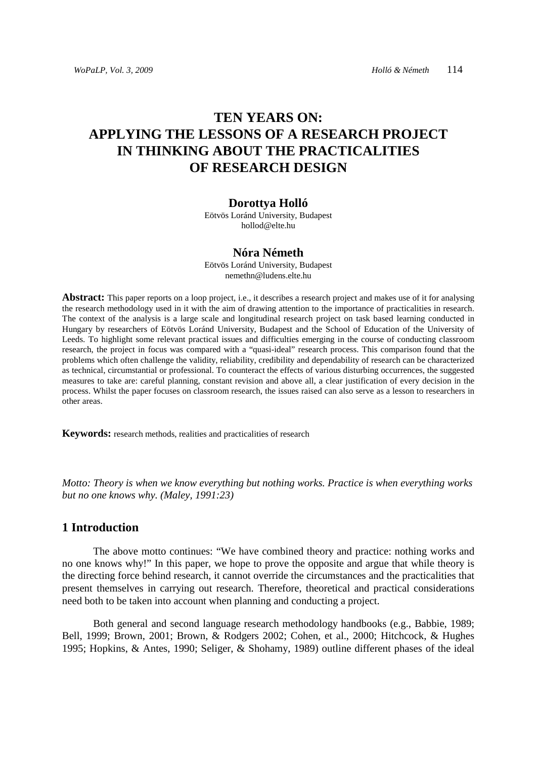# **TEN YEARS ON: APPLYING THE LESSONS OF A RESEARCH PROJECT IN THINKING ABOUT THE PRACTICALITIES OF RESEARCH DESIGN**

#### **Dorottya Holló**

Eötvös Loránd University, Budapest hollod@elte.hu

#### **Nóra Németh**

Eötvös Loránd University, Budapest nemethn@ludens.elte.hu

**Abstract:** This paper reports on a loop project, i.e., it describes a research project and makes use of it for analysing the research methodology used in it with the aim of drawing attention to the importance of practicalities in research. The context of the analysis is a large scale and longitudinal research project on task based learning conducted in Hungary by researchers of Eötvös Loránd University, Budapest and the School of Education of the University of Leeds. To highlight some relevant practical issues and difficulties emerging in the course of conducting classroom research, the project in focus was compared with a "quasi-ideal" research process. This comparison found that the problems which often challenge the validity, reliability, credibility and dependability of research can be characterized as technical, circumstantial or professional. To counteract the effects of various disturbing occurrences, the suggested measures to take are: careful planning, constant revision and above all, a clear justification of every decision in the process. Whilst the paper focuses on classroom research, the issues raised can also serve as a lesson to researchers in other areas.

**Keywords:** research methods, realities and practicalities of research

*Motto: Theory is when we know everything but nothing works. Practice is when everything works but no one knows why. (Maley, 1991:23)* 

# **1 Introduction**

The above motto continues: "We have combined theory and practice: nothing works and no one knows why!" In this paper, we hope to prove the opposite and argue that while theory is the directing force behind research, it cannot override the circumstances and the practicalities that present themselves in carrying out research. Therefore, theoretical and practical considerations need both to be taken into account when planning and conducting a project.

Both general and second language research methodology handbooks (e.g., Babbie, 1989; Bell, 1999; Brown, 2001; Brown, & Rodgers 2002; Cohen, et al., 2000; Hitchcock, & Hughes 1995; Hopkins, & Antes, 1990; Seliger, & Shohamy, 1989) outline different phases of the ideal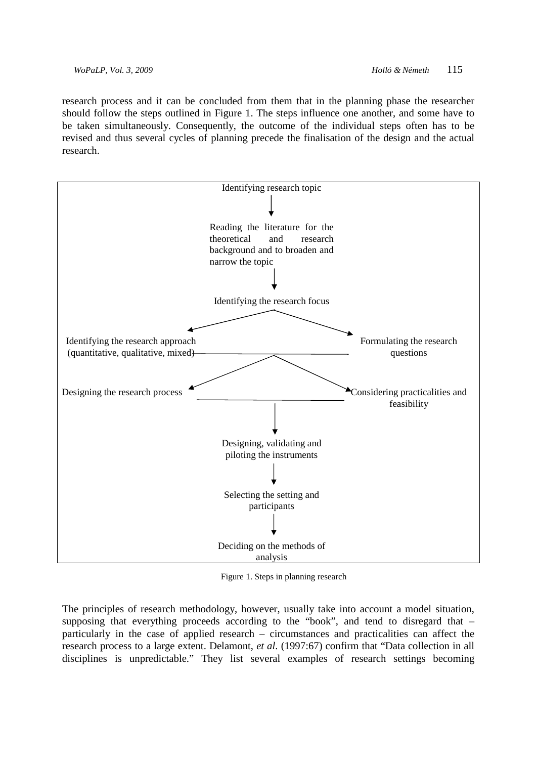research process and it can be concluded from them that in the planning phase the researcher should follow the steps outlined in Figure 1. The steps influence one another, and some have to be taken simultaneously. Consequently, the outcome of the individual steps often has to be revised and thus several cycles of planning precede the finalisation of the design and the actual research.



Figure 1. Steps in planning research

The principles of research methodology, however, usually take into account a model situation, supposing that everything proceeds according to the "book", and tend to disregard that – particularly in the case of applied research – circumstances and practicalities can affect the research process to a large extent. Delamont, *et al*. (1997:67) confirm that "Data collection in all disciplines is unpredictable." They list several examples of research settings becoming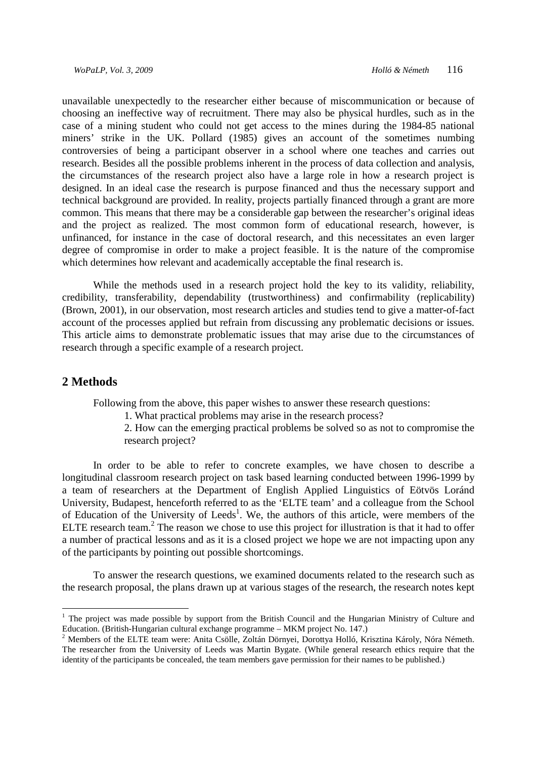unavailable unexpectedly to the researcher either because of miscommunication or because of choosing an ineffective way of recruitment. There may also be physical hurdles, such as in the case of a mining student who could not get access to the mines during the 1984-85 national miners' strike in the UK. Pollard (1985) gives an account of the sometimes numbing controversies of being a participant observer in a school where one teaches and carries out research. Besides all the possible problems inherent in the process of data collection and analysis, the circumstances of the research project also have a large role in how a research project is designed. In an ideal case the research is purpose financed and thus the necessary support and technical background are provided. In reality, projects partially financed through a grant are more common. This means that there may be a considerable gap between the researcher's original ideas and the project as realized. The most common form of educational research, however, is unfinanced, for instance in the case of doctoral research, and this necessitates an even larger degree of compromise in order to make a project feasible. It is the nature of the compromise which determines how relevant and academically acceptable the final research is.

While the methods used in a research project hold the key to its validity, reliability, credibility, transferability, dependability (trustworthiness) and confirmability (replicability) (Brown, 2001), in our observation, most research articles and studies tend to give a matter-of-fact account of the processes applied but refrain from discussing any problematic decisions or issues. This article aims to demonstrate problematic issues that may arise due to the circumstances of research through a specific example of a research project.

### **2 Methods**

 $\overline{a}$ 

Following from the above, this paper wishes to answer these research questions:

1. What practical problems may arise in the research process?

2. How can the emerging practical problems be solved so as not to compromise the research project?

In order to be able to refer to concrete examples, we have chosen to describe a longitudinal classroom research project on task based learning conducted between 1996-1999 by a team of researchers at the Department of English Applied Linguistics of Eötvös Loránd University, Budapest, henceforth referred to as the 'ELTE team' and a colleague from the School of Education of the University of Leeds<sup>1</sup>. We, the authors of this article, were members of the ELTE research team.<sup>2</sup> The reason we chose to use this project for illustration is that it had to offer a number of practical lessons and as it is a closed project we hope we are not impacting upon any of the participants by pointing out possible shortcomings.

To answer the research questions, we examined documents related to the research such as the research proposal, the plans drawn up at various stages of the research, the research notes kept

<sup>&</sup>lt;sup>1</sup> The project was made possible by support from the British Council and the Hungarian Ministry of Culture and Education. (British-Hungarian cultural exchange programme – MKM project No. 147.)

<sup>&</sup>lt;sup>2</sup> Members of the ELTE team were: Anita Csölle, Zoltán Dörnyei, Dorottya Holló, Krisztina Károly, Nóra Németh. The researcher from the University of Leeds was Martin Bygate. (While general research ethics require that the identity of the participants be concealed, the team members gave permission for their names to be published.)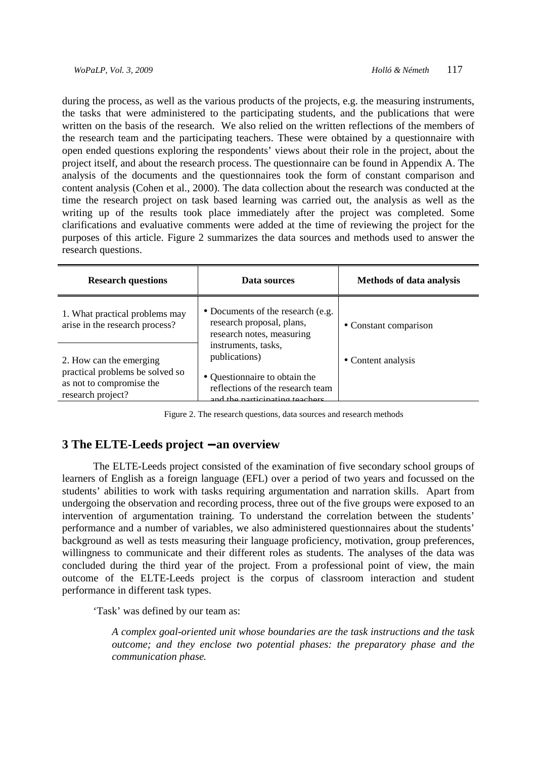during the process, as well as the various products of the projects, e.g. the measuring instruments, the tasks that were administered to the participating students, and the publications that were written on the basis of the research. We also relied on the written reflections of the members of the research team and the participating teachers. These were obtained by a questionnaire with open ended questions exploring the respondents' views about their role in the project, about the project itself, and about the research process. The questionnaire can be found in Appendix A. The analysis of the documents and the questionnaires took the form of constant comparison and content analysis (Cohen et al., 2000). The data collection about the research was conducted at the time the research project on task based learning was carried out, the analysis as well as the writing up of the results took place immediately after the project was completed. Some clarifications and evaluative comments were added at the time of reviewing the project for the purposes of this article. Figure 2 summarizes the data sources and methods used to answer the research questions.

| <b>Research questions</b>                                                        | Data sources                                                                                        | <b>Methods of data analysis</b> |
|----------------------------------------------------------------------------------|-----------------------------------------------------------------------------------------------------|---------------------------------|
| 1. What practical problems may<br>arise in the research process?                 | • Documents of the research (e.g.<br>research proposal, plans,<br>research notes, measuring         | • Constant comparison           |
| 2. How can the emerging                                                          | instruments, tasks,<br>publications)                                                                | • Content analysis              |
| practical problems be solved so<br>as not to compromise the<br>research project? | • Questionnaire to obtain the<br>reflections of the research team<br>and the narticinating teachers |                                 |

Figure 2. The research questions, data sources and research methods

# **3 The ELTE-Leeds project** − **an overview**

The ELTE-Leeds project consisted of the examination of five secondary school groups of learners of English as a foreign language (EFL) over a period of two years and focussed on the students' abilities to work with tasks requiring argumentation and narration skills. Apart from undergoing the observation and recording process, three out of the five groups were exposed to an intervention of argumentation training. To understand the correlation between the students' performance and a number of variables, we also administered questionnaires about the students' background as well as tests measuring their language proficiency, motivation, group preferences, willingness to communicate and their different roles as students. The analyses of the data was concluded during the third year of the project. From a professional point of view, the main outcome of the ELTE-Leeds project is the corpus of classroom interaction and student performance in different task types.

'Task' was defined by our team as:

*A complex goal-oriented unit whose boundaries are the task instructions and the task outcome; and they enclose two potential phases: the preparatory phase and the communication phase.*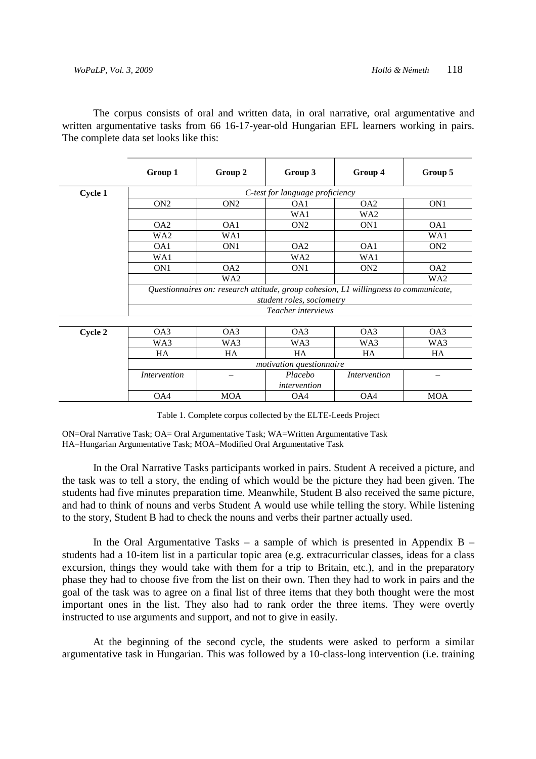The corpus consists of oral and written data, in oral narrative, oral argumentative and written argumentative tasks from 66 16-17-year-old Hungarian EFL learners working in pairs. The complete data set looks like this:

|         | Group 1                                                                                                           | Group 2                         | Group 3            | Group 4             | Group 5         |
|---------|-------------------------------------------------------------------------------------------------------------------|---------------------------------|--------------------|---------------------|-----------------|
| Cycle 1 |                                                                                                                   | C-test for language proficiency |                    |                     |                 |
|         | ON <sub>2</sub>                                                                                                   | ON <sub>2</sub>                 | OA1                | OA <sub>2</sub>     | ON <sub>1</sub> |
|         |                                                                                                                   |                                 | WA1                | WA <sub>2</sub>     |                 |
|         | OA2                                                                                                               | OA1                             | ON <sub>2</sub>    | ON <sub>1</sub>     | OA1             |
|         | WA <sub>2</sub>                                                                                                   | WA1                             |                    |                     | WA1             |
|         | OA1                                                                                                               | ON <sub>1</sub>                 | OA <sub>2</sub>    | OA1                 | ON <sub>2</sub> |
|         | WA1                                                                                                               |                                 | WA <sub>2</sub>    | WA1                 |                 |
|         | ON <sub>1</sub>                                                                                                   | OA <sub>2</sub>                 | ON <sub>1</sub>    | ON <sub>2</sub>     | OA <sub>2</sub> |
|         |                                                                                                                   | WA2                             |                    |                     | WA2             |
|         | Questionnaires on: research attitude, group cohesion, L1 willingness to communicate,<br>student roles, sociometry |                                 |                    |                     |                 |
|         |                                                                                                                   |                                 | Teacher interviews |                     |                 |
|         |                                                                                                                   |                                 |                    |                     |                 |
| Cycle 2 | OA3                                                                                                               | OA3                             | OA3                | OA3                 | OA3             |
|         | WA3                                                                                                               | WA3                             | WA3                | WA3                 | WA3             |
|         | HA                                                                                                                | HA                              | HA                 | HA                  | HA              |
|         |                                                                                                                   | motivation questionnaire        |                    |                     |                 |
|         | <i>Intervention</i>                                                                                               |                                 | Placebo            | <i>Intervention</i> |                 |
|         |                                                                                                                   |                                 | intervention       |                     |                 |
|         | OA4                                                                                                               | <b>MOA</b>                      | OA4                | OA4                 | <b>MOA</b>      |

Table 1. Complete corpus collected by the ELTE-Leeds Project

ON=Oral Narrative Task; OA= Oral Argumentative Task; WA=Written Argumentative Task HA=Hungarian Argumentative Task; MOA=Modified Oral Argumentative Task

In the Oral Narrative Tasks participants worked in pairs. Student A received a picture, and the task was to tell a story, the ending of which would be the picture they had been given. The students had five minutes preparation time. Meanwhile, Student B also received the same picture, and had to think of nouns and verbs Student A would use while telling the story. While listening to the story, Student B had to check the nouns and verbs their partner actually used.

In the Oral Argumentative Tasks – a sample of which is presented in Appendix  $B$ students had a 10-item list in a particular topic area (e.g. extracurricular classes, ideas for a class excursion, things they would take with them for a trip to Britain, etc.), and in the preparatory phase they had to choose five from the list on their own. Then they had to work in pairs and the goal of the task was to agree on a final list of three items that they both thought were the most important ones in the list. They also had to rank order the three items. They were overtly instructed to use arguments and support, and not to give in easily.

At the beginning of the second cycle, the students were asked to perform a similar argumentative task in Hungarian. This was followed by a 10-class-long intervention (i.e. training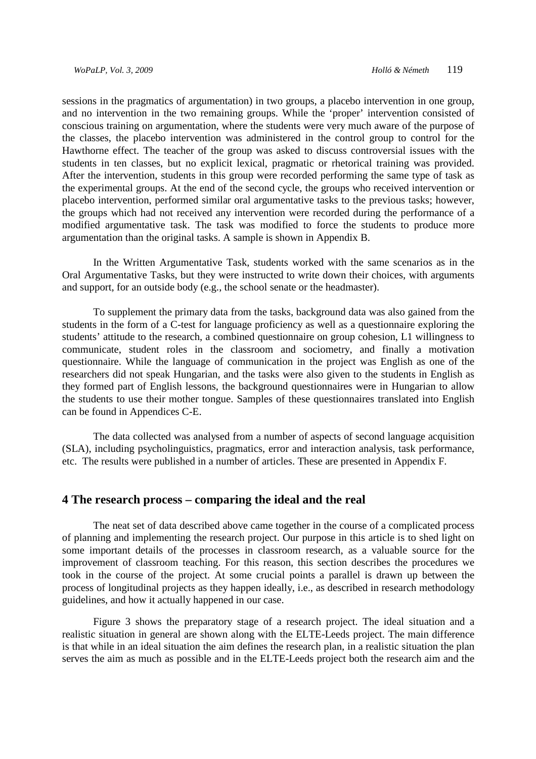sessions in the pragmatics of argumentation) in two groups, a placebo intervention in one group, and no intervention in the two remaining groups. While the 'proper' intervention consisted of conscious training on argumentation, where the students were very much aware of the purpose of the classes, the placebo intervention was administered in the control group to control for the Hawthorne effect. The teacher of the group was asked to discuss controversial issues with the students in ten classes, but no explicit lexical, pragmatic or rhetorical training was provided. After the intervention, students in this group were recorded performing the same type of task as the experimental groups. At the end of the second cycle, the groups who received intervention or placebo intervention, performed similar oral argumentative tasks to the previous tasks; however, the groups which had not received any intervention were recorded during the performance of a modified argumentative task. The task was modified to force the students to produce more argumentation than the original tasks. A sample is shown in Appendix B.

In the Written Argumentative Task, students worked with the same scenarios as in the Oral Argumentative Tasks, but they were instructed to write down their choices, with arguments and support, for an outside body (e.g., the school senate or the headmaster).

To supplement the primary data from the tasks, background data was also gained from the students in the form of a C-test for language proficiency as well as a questionnaire exploring the students' attitude to the research, a combined questionnaire on group cohesion, L1 willingness to communicate, student roles in the classroom and sociometry, and finally a motivation questionnaire. While the language of communication in the project was English as one of the researchers did not speak Hungarian, and the tasks were also given to the students in English as they formed part of English lessons, the background questionnaires were in Hungarian to allow the students to use their mother tongue. Samples of these questionnaires translated into English can be found in Appendices C-E.

The data collected was analysed from a number of aspects of second language acquisition (SLA), including psycholinguistics, pragmatics, error and interaction analysis, task performance, etc. The results were published in a number of articles. These are presented in Appendix F.

#### **4 The research process – comparing the ideal and the real**

 The neat set of data described above came together in the course of a complicated process of planning and implementing the research project. Our purpose in this article is to shed light on some important details of the processes in classroom research, as a valuable source for the improvement of classroom teaching. For this reason, this section describes the procedures we took in the course of the project. At some crucial points a parallel is drawn up between the process of longitudinal projects as they happen ideally, i.e., as described in research methodology guidelines, and how it actually happened in our case.

 Figure 3 shows the preparatory stage of a research project. The ideal situation and a realistic situation in general are shown along with the ELTE-Leeds project. The main difference is that while in an ideal situation the aim defines the research plan, in a realistic situation the plan serves the aim as much as possible and in the ELTE-Leeds project both the research aim and the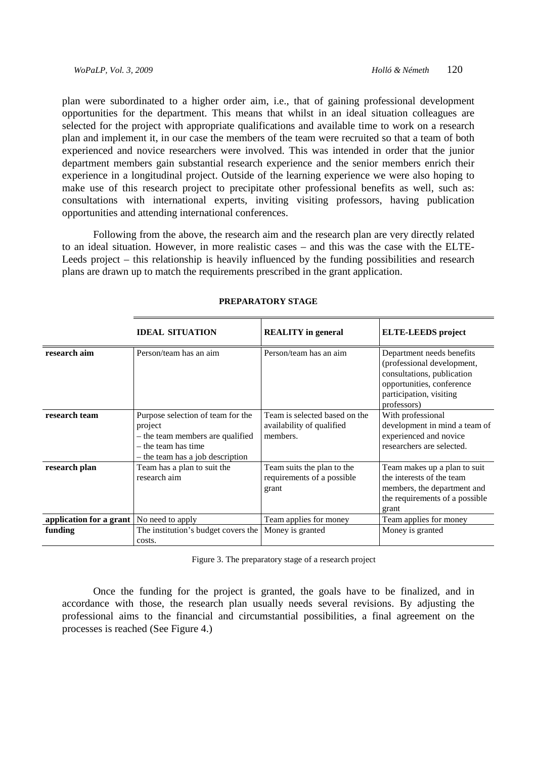plan were subordinated to a higher order aim, i.e., that of gaining professional development opportunities for the department. This means that whilst in an ideal situation colleagues are selected for the project with appropriate qualifications and available time to work on a research plan and implement it, in our case the members of the team were recruited so that a team of both experienced and novice researchers were involved. This was intended in order that the junior department members gain substantial research experience and the senior members enrich their experience in a longitudinal project. Outside of the learning experience we were also hoping to make use of this research project to precipitate other professional benefits as well, such as: consultations with international experts, inviting visiting professors, having publication opportunities and attending international conferences.

 Following from the above, the research aim and the research plan are very directly related to an ideal situation. However, in more realistic cases – and this was the case with the ELTE-Leeds project – this relationship is heavily influenced by the funding possibilities and research plans are drawn up to match the requirements prescribed in the grant application.

|                         | <b>IDEAL SITUATION</b>                                                                                                                        | <b>REALITY</b> in general                                              | <b>ELTE-LEEDS</b> project                                                                                                                                    |  |
|-------------------------|-----------------------------------------------------------------------------------------------------------------------------------------------|------------------------------------------------------------------------|--------------------------------------------------------------------------------------------------------------------------------------------------------------|--|
| research aim            | Person/team has an aim                                                                                                                        | Person/team has an aim                                                 | Department needs benefits<br>(professional development,<br>consultations, publication<br>opportunities, conference<br>participation, visiting<br>professors) |  |
| research team           | Purpose selection of team for the<br>project<br>- the team members are qualified<br>$-$ the team has time<br>- the team has a job description | Team is selected based on the<br>availability of qualified<br>members. | With professional<br>development in mind a team of<br>experienced and novice<br>researchers are selected.                                                    |  |
| research plan           | Team has a plan to suit the<br>research aim                                                                                                   | Team suits the plan to the<br>requirements of a possible<br>grant      | Team makes up a plan to suit<br>the interests of the team<br>members, the department and<br>the requirements of a possible<br>grant                          |  |
| application for a grant | No need to apply                                                                                                                              | Team applies for money                                                 | Team applies for money                                                                                                                                       |  |
| funding                 | The institution's budget covers the<br>costs.                                                                                                 | Money is granted                                                       | Money is granted                                                                                                                                             |  |

#### **PREPARATORY STAGE**

Figure 3. The preparatory stage of a research project

Once the funding for the project is granted, the goals have to be finalized, and in accordance with those, the research plan usually needs several revisions. By adjusting the professional aims to the financial and circumstantial possibilities, a final agreement on the processes is reached (See Figure 4.)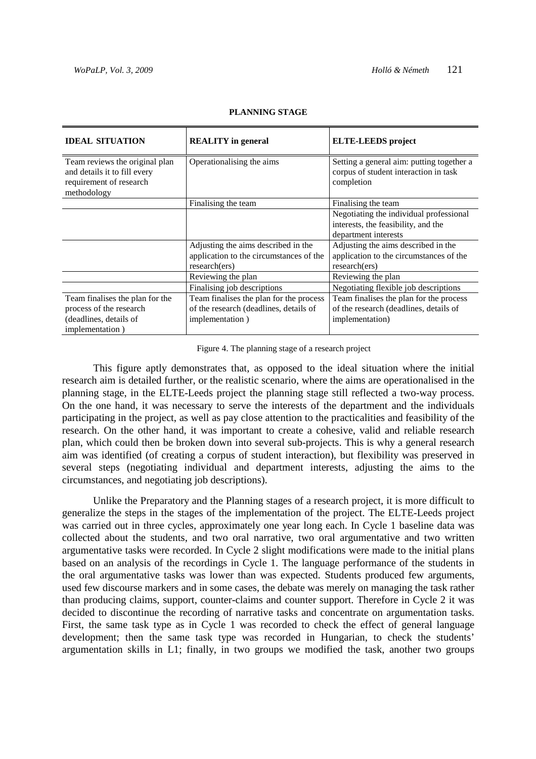| <b>IDEAL SITUATION</b>                                         | <b>REALITY</b> in general               | <b>ELTE-LEEDS</b> project                 |
|----------------------------------------------------------------|-----------------------------------------|-------------------------------------------|
|                                                                | Operationalising the aims               | Setting a general aim: putting together a |
| Team reviews the original plan<br>and details it to fill every |                                         | corpus of student interaction in task     |
| requirement of research                                        |                                         | completion                                |
| methodology                                                    |                                         |                                           |
|                                                                | Finalising the team                     | Finalising the team                       |
|                                                                |                                         | Negotiating the individual professional   |
|                                                                |                                         | interests, the feasibility, and the       |
|                                                                |                                         | department interests                      |
|                                                                | Adjusting the aims described in the     | Adjusting the aims described in the       |
|                                                                | application to the circumstances of the | application to the circumstances of the   |
|                                                                | research(ers)                           | research(ers)                             |
|                                                                | Reviewing the plan                      | Reviewing the plan                        |
|                                                                | Finalising job descriptions             | Negotiating flexible job descriptions     |
| Team finalises the plan for the                                | Team finalises the plan for the process | Team finalises the plan for the process   |
| process of the research                                        | of the research (deadlines, details of  | of the research (deadlines, details of    |
| (deadlines, details of                                         | implementation)                         | implementation)                           |
| implementation)                                                |                                         |                                           |

#### **PLANNING STAGE**

Figure 4. The planning stage of a research project

This figure aptly demonstrates that, as opposed to the ideal situation where the initial research aim is detailed further, or the realistic scenario, where the aims are operationalised in the planning stage, in the ELTE-Leeds project the planning stage still reflected a two-way process. On the one hand, it was necessary to serve the interests of the department and the individuals participating in the project, as well as pay close attention to the practicalities and feasibility of the research. On the other hand, it was important to create a cohesive, valid and reliable research plan, which could then be broken down into several sub-projects. This is why a general research aim was identified (of creating a corpus of student interaction), but flexibility was preserved in several steps (negotiating individual and department interests, adjusting the aims to the circumstances, and negotiating job descriptions).

Unlike the Preparatory and the Planning stages of a research project, it is more difficult to generalize the steps in the stages of the implementation of the project. The ELTE-Leeds project was carried out in three cycles, approximately one year long each. In Cycle 1 baseline data was collected about the students, and two oral narrative, two oral argumentative and two written argumentative tasks were recorded. In Cycle 2 slight modifications were made to the initial plans based on an analysis of the recordings in Cycle 1. The language performance of the students in the oral argumentative tasks was lower than was expected. Students produced few arguments, used few discourse markers and in some cases, the debate was merely on managing the task rather than producing claims, support, counter-claims and counter support. Therefore in Cycle 2 it was decided to discontinue the recording of narrative tasks and concentrate on argumentation tasks. First, the same task type as in Cycle 1 was recorded to check the effect of general language development; then the same task type was recorded in Hungarian, to check the students' argumentation skills in L1; finally, in two groups we modified the task, another two groups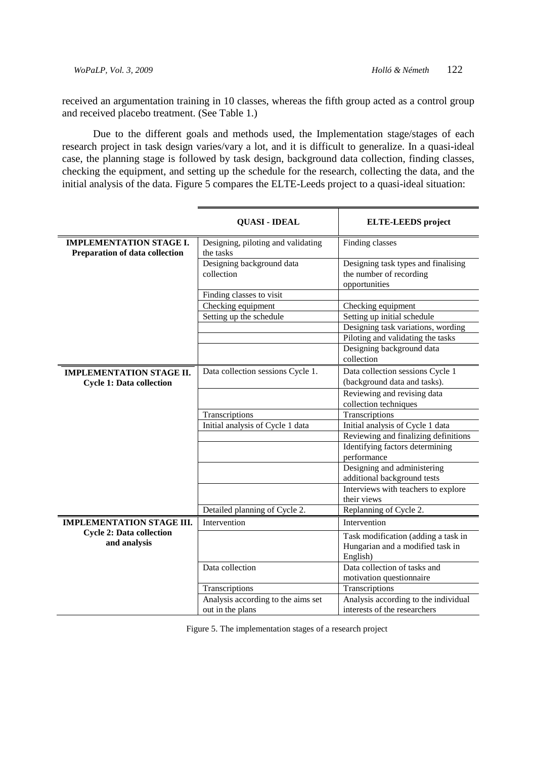received an argumentation training in 10 classes, whereas the fifth group acted as a control group and received placebo treatment. (See Table 1.)

Due to the different goals and methods used, the Implementation stage/stages of each research project in task design varies/vary a lot, and it is difficult to generalize. In a quasi-ideal case, the planning stage is followed by task design, background data collection, finding classes, checking the equipment, and setting up the schedule for the research, collecting the data, and the initial analysis of the data. Figure 5 compares the ELTE-Leeds project to a quasi-ideal situation:

|                                                                    | <b>QUASI - IDEAL</b>                            | <b>ELTE-LEEDS</b> project                                                       |
|--------------------------------------------------------------------|-------------------------------------------------|---------------------------------------------------------------------------------|
| <b>IMPLEMENTATION STAGE I.</b><br>Preparation of data collection   | Designing, piloting and validating<br>the tasks | Finding classes                                                                 |
|                                                                    | Designing background data<br>collection         | Designing task types and finalising<br>the number of recording<br>opportunities |
|                                                                    | Finding classes to visit                        |                                                                                 |
|                                                                    | Checking equipment                              | Checking equipment                                                              |
|                                                                    | Setting up the schedule                         | Setting up initial schedule                                                     |
|                                                                    |                                                 | Designing task variations, wording                                              |
|                                                                    |                                                 | Piloting and validating the tasks                                               |
|                                                                    |                                                 | Designing background data<br>collection                                         |
| <b>IMPLEMENTATION STAGE II.</b><br><b>Cycle 1: Data collection</b> | Data collection sessions Cycle 1.               | Data collection sessions Cycle 1<br>(background data and tasks).                |
|                                                                    |                                                 | Reviewing and revising data<br>collection techniques                            |
|                                                                    | Transcriptions                                  | Transcriptions                                                                  |
|                                                                    | Initial analysis of Cycle 1 data                | Initial analysis of Cycle 1 data                                                |
|                                                                    |                                                 | Reviewing and finalizing definitions                                            |
|                                                                    |                                                 | Identifying factors determining<br>performance                                  |
|                                                                    |                                                 | Designing and administering<br>additional background tests                      |
|                                                                    |                                                 | Interviews with teachers to explore<br>their views                              |
|                                                                    | Detailed planning of Cycle 2.                   | Replanning of Cycle 2.                                                          |
| <b>IMPLEMENTATION STAGE III.</b>                                   | Intervention                                    | Intervention                                                                    |
| <b>Cycle 2: Data collection</b>                                    |                                                 | Task modification (adding a task in                                             |
| and analysis                                                       |                                                 | Hungarian and a modified task in                                                |
|                                                                    |                                                 | English)                                                                        |
|                                                                    | Data collection                                 | Data collection of tasks and<br>motivation questionnaire                        |
|                                                                    | Transcriptions                                  | Transcriptions                                                                  |
|                                                                    | Analysis according to the aims set              | Analysis according to the individual                                            |
|                                                                    | out in the plans                                | interests of the researchers                                                    |

Figure 5. The implementation stages of a research project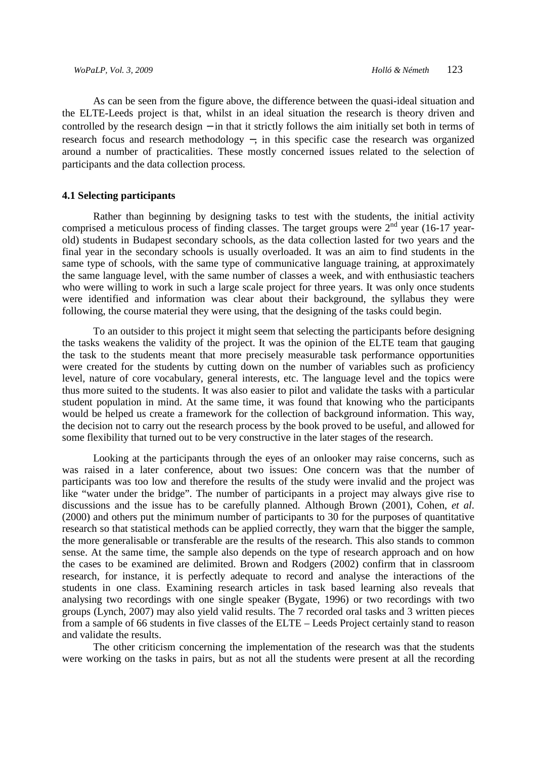As can be seen from the figure above, the difference between the quasi-ideal situation and the ELTE-Leeds project is that, whilst in an ideal situation the research is theory driven and controlled by the research design − in that it strictly follows the aim initially set both in terms of research focus and research methodology −, in this specific case the research was organized around a number of practicalities. These mostly concerned issues related to the selection of participants and the data collection process.

#### **4.1 Selecting participants**

Rather than beginning by designing tasks to test with the students, the initial activity comprised a meticulous process of finding classes. The target groups were  $2<sup>nd</sup>$  year (16-17 yearold) students in Budapest secondary schools, as the data collection lasted for two years and the final year in the secondary schools is usually overloaded. It was an aim to find students in the same type of schools, with the same type of communicative language training, at approximately the same language level, with the same number of classes a week, and with enthusiastic teachers who were willing to work in such a large scale project for three years. It was only once students were identified and information was clear about their background, the syllabus they were following, the course material they were using, that the designing of the tasks could begin.

To an outsider to this project it might seem that selecting the participants before designing the tasks weakens the validity of the project. It was the opinion of the ELTE team that gauging the task to the students meant that more precisely measurable task performance opportunities were created for the students by cutting down on the number of variables such as proficiency level, nature of core vocabulary, general interests, etc. The language level and the topics were thus more suited to the students. It was also easier to pilot and validate the tasks with a particular student population in mind. At the same time, it was found that knowing who the participants would be helped us create a framework for the collection of background information. This way, the decision not to carry out the research process by the book proved to be useful, and allowed for some flexibility that turned out to be very constructive in the later stages of the research.

Looking at the participants through the eyes of an onlooker may raise concerns, such as was raised in a later conference, about two issues: One concern was that the number of participants was too low and therefore the results of the study were invalid and the project was like "water under the bridge". The number of participants in a project may always give rise to discussions and the issue has to be carefully planned. Although Brown (2001), Cohen, *et al*. (2000) and others put the minimum number of participants to 30 for the purposes of quantitative research so that statistical methods can be applied correctly, they warn that the bigger the sample, the more generalisable or transferable are the results of the research. This also stands to common sense. At the same time, the sample also depends on the type of research approach and on how the cases to be examined are delimited. Brown and Rodgers (2002) confirm that in classroom research, for instance, it is perfectly adequate to record and analyse the interactions of the students in one class. Examining research articles in task based learning also reveals that analysing two recordings with one single speaker (Bygate, 1996) or two recordings with two groups (Lynch, 2007) may also yield valid results. The 7 recorded oral tasks and 3 written pieces from a sample of 66 students in five classes of the ELTE – Leeds Project certainly stand to reason and validate the results.

The other criticism concerning the implementation of the research was that the students were working on the tasks in pairs, but as not all the students were present at all the recording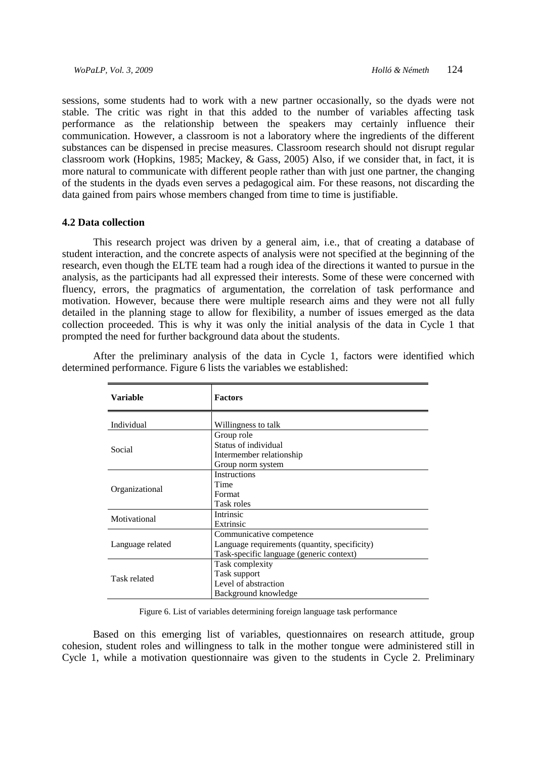sessions, some students had to work with a new partner occasionally, so the dyads were not stable. The critic was right in that this added to the number of variables affecting task performance as the relationship between the speakers may certainly influence their communication. However, a classroom is not a laboratory where the ingredients of the different substances can be dispensed in precise measures. Classroom research should not disrupt regular classroom work (Hopkins, 1985; Mackey, & Gass, 2005) Also, if we consider that, in fact, it is more natural to communicate with different people rather than with just one partner, the changing of the students in the dyads even serves a pedagogical aim. For these reasons, not discarding the data gained from pairs whose members changed from time to time is justifiable.

#### **4.2 Data collection**

This research project was driven by a general aim, i.e., that of creating a database of student interaction, and the concrete aspects of analysis were not specified at the beginning of the research, even though the ELTE team had a rough idea of the directions it wanted to pursue in the analysis, as the participants had all expressed their interests. Some of these were concerned with fluency, errors, the pragmatics of argumentation, the correlation of task performance and motivation. However, because there were multiple research aims and they were not all fully detailed in the planning stage to allow for flexibility, a number of issues emerged as the data collection proceeded. This is why it was only the initial analysis of the data in Cycle 1 that prompted the need for further background data about the students.

| <b>Variable</b>  | <b>Factors</b>                                |
|------------------|-----------------------------------------------|
| Individual       | Willingness to talk                           |
|                  | Group role                                    |
|                  | Status of individual                          |
| Social           | Intermember relationship                      |
|                  | Group norm system                             |
|                  | <b>Instructions</b>                           |
|                  | Time                                          |
| Organizational   | Format                                        |
|                  | Task roles                                    |
| Motivational     | Intrinsic                                     |
|                  | Extrinsic                                     |
|                  | Communicative competence                      |
| Language related | Language requirements (quantity, specificity) |
|                  | Task-specific language (generic context)      |
|                  | Task complexity                               |
| Task related     | Task support                                  |
|                  | Level of abstraction                          |
|                  | Background knowledge                          |

After the preliminary analysis of the data in Cycle 1, factors were identified which determined performance. Figure 6 lists the variables we established:

Figure 6. List of variables determining foreign language task performance

Based on this emerging list of variables, questionnaires on research attitude, group cohesion, student roles and willingness to talk in the mother tongue were administered still in Cycle 1, while a motivation questionnaire was given to the students in Cycle 2. Preliminary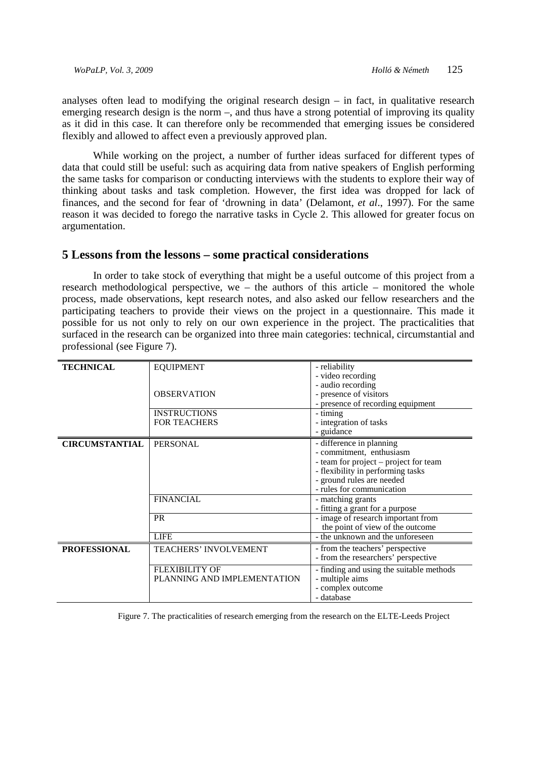analyses often lead to modifying the original research design  $-$  in fact, in qualitative research emerging research design is the norm –, and thus have a strong potential of improving its quality as it did in this case. It can therefore only be recommended that emerging issues be considered flexibly and allowed to affect even a previously approved plan.

While working on the project, a number of further ideas surfaced for different types of data that could still be useful: such as acquiring data from native speakers of English performing the same tasks for comparison or conducting interviews with the students to explore their way of thinking about tasks and task completion. However, the first idea was dropped for lack of finances, and the second for fear of 'drowning in data' (Delamont, *et al*., 1997). For the same reason it was decided to forego the narrative tasks in Cycle 2. This allowed for greater focus on argumentation.

#### **5 Lessons from the lessons – some practical considerations**

In order to take stock of everything that might be a useful outcome of this project from a research methodological perspective, we – the authors of this article – monitored the whole process, made observations, kept research notes, and also asked our fellow researchers and the participating teachers to provide their views on the project in a questionnaire. This made it possible for us not only to rely on our own experience in the project. The practicalities that surfaced in the research can be organized into three main categories: technical, circumstantial and professional (see Figure 7).

|                              | - reliability                                                                                                  |
|------------------------------|----------------------------------------------------------------------------------------------------------------|
|                              | - video recording                                                                                              |
|                              | - audio recording                                                                                              |
| <b>OBSERVATION</b>           | - presence of visitors                                                                                         |
|                              | - presence of recording equipment                                                                              |
|                              | - timing                                                                                                       |
|                              | - integration of tasks                                                                                         |
|                              | - guidance                                                                                                     |
| <b>PERSONAL</b>              | - difference in planning                                                                                       |
|                              | - commitment, enthusiasm                                                                                       |
|                              | - team for project - project for team                                                                          |
|                              | - flexibility in performing tasks                                                                              |
|                              | - ground rules are needed                                                                                      |
|                              | - rules for communication                                                                                      |
|                              | - matching grants                                                                                              |
|                              | - fitting a grant for a purpose                                                                                |
|                              | - image of research important from                                                                             |
|                              | the point of view of the outcome                                                                               |
|                              | - the unknown and the unforeseen                                                                               |
| <b>TEACHERS' INVOLVEMENT</b> | - from the teachers' perspective                                                                               |
|                              | - from the researchers' perspective                                                                            |
| <b>FLEXIBILITY OF</b>        | - finding and using the suitable methods                                                                       |
| PLANNING AND IMPLEMENTATION  | - multiple aims                                                                                                |
|                              | - complex outcome                                                                                              |
|                              | - database                                                                                                     |
|                              | <b>EQUIPMENT</b><br><b>INSTRUCTIONS</b><br><b>FOR TEACHERS</b><br><b>FINANCIAL</b><br><b>PR</b><br><b>LIFE</b> |

Figure 7. The practicalities of research emerging from the research on the ELTE-Leeds Project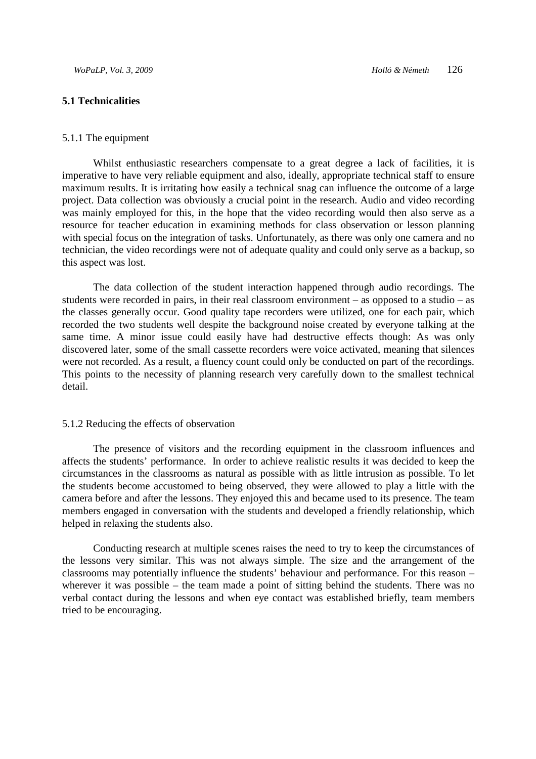#### **5.1 Technicalities**

#### 5.1.1 The equipment

Whilst enthusiastic researchers compensate to a great degree a lack of facilities, it is imperative to have very reliable equipment and also, ideally, appropriate technical staff to ensure maximum results. It is irritating how easily a technical snag can influence the outcome of a large project. Data collection was obviously a crucial point in the research. Audio and video recording was mainly employed for this, in the hope that the video recording would then also serve as a resource for teacher education in examining methods for class observation or lesson planning with special focus on the integration of tasks. Unfortunately, as there was only one camera and no technician, the video recordings were not of adequate quality and could only serve as a backup, so this aspect was lost.

The data collection of the student interaction happened through audio recordings. The students were recorded in pairs, in their real classroom environment – as opposed to a studio – as the classes generally occur. Good quality tape recorders were utilized, one for each pair, which recorded the two students well despite the background noise created by everyone talking at the same time. A minor issue could easily have had destructive effects though: As was only discovered later, some of the small cassette recorders were voice activated, meaning that silences were not recorded. As a result, a fluency count could only be conducted on part of the recordings. This points to the necessity of planning research very carefully down to the smallest technical detail.

#### 5.1.2 Reducing the effects of observation

The presence of visitors and the recording equipment in the classroom influences and affects the students' performance. In order to achieve realistic results it was decided to keep the circumstances in the classrooms as natural as possible with as little intrusion as possible. To let the students become accustomed to being observed, they were allowed to play a little with the camera before and after the lessons. They enjoyed this and became used to its presence. The team members engaged in conversation with the students and developed a friendly relationship, which helped in relaxing the students also.

Conducting research at multiple scenes raises the need to try to keep the circumstances of the lessons very similar. This was not always simple. The size and the arrangement of the classrooms may potentially influence the students' behaviour and performance. For this reason – wherever it was possible – the team made a point of sitting behind the students. There was no verbal contact during the lessons and when eye contact was established briefly, team members tried to be encouraging.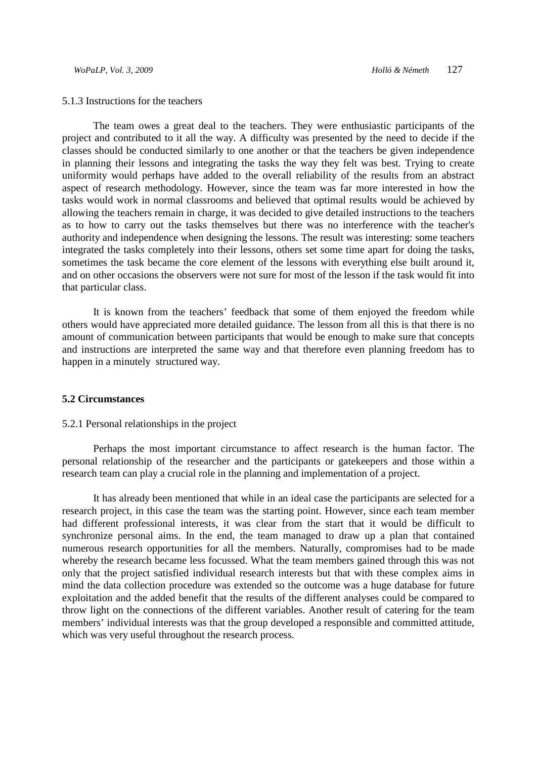#### 5.1.3 Instructions for the teachers

The team owes a great deal to the teachers. They were enthusiastic participants of the project and contributed to it all the way. A difficulty was presented by the need to decide if the classes should be conducted similarly to one another or that the teachers be given independence in planning their lessons and integrating the tasks the way they felt was best. Trying to create uniformity would perhaps have added to the overall reliability of the results from an abstract aspect of research methodology. However, since the team was far more interested in how the tasks would work in normal classrooms and believed that optimal results would be achieved by allowing the teachers remain in charge, it was decided to give detailed instructions to the teachers as to how to carry out the tasks themselves but there was no interference with the teacher's authority and independence when designing the lessons. The result was interesting: some teachers integrated the tasks completely into their lessons, others set some time apart for doing the tasks, sometimes the task became the core element of the lessons with everything else built around it, and on other occasions the observers were not sure for most of the lesson if the task would fit into that particular class.

It is known from the teachers' feedback that some of them enjoyed the freedom while others would have appreciated more detailed guidance. The lesson from all this is that there is no amount of communication between participants that would be enough to make sure that concepts and instructions are interpreted the same way and that therefore even planning freedom has to happen in a minutely structured way.

#### **5.2 Circumstances**

#### 5.2.1 Personal relationships in the project

Perhaps the most important circumstance to affect research is the human factor. The personal relationship of the researcher and the participants or gatekeepers and those within a research team can play a crucial role in the planning and implementation of a project.

It has already been mentioned that while in an ideal case the participants are selected for a research project, in this case the team was the starting point. However, since each team member had different professional interests, it was clear from the start that it would be difficult to synchronize personal aims. In the end, the team managed to draw up a plan that contained numerous research opportunities for all the members. Naturally, compromises had to be made whereby the research became less focussed. What the team members gained through this was not only that the project satisfied individual research interests but that with these complex aims in mind the data collection procedure was extended so the outcome was a huge database for future exploitation and the added benefit that the results of the different analyses could be compared to throw light on the connections of the different variables. Another result of catering for the team members' individual interests was that the group developed a responsible and committed attitude, which was very useful throughout the research process.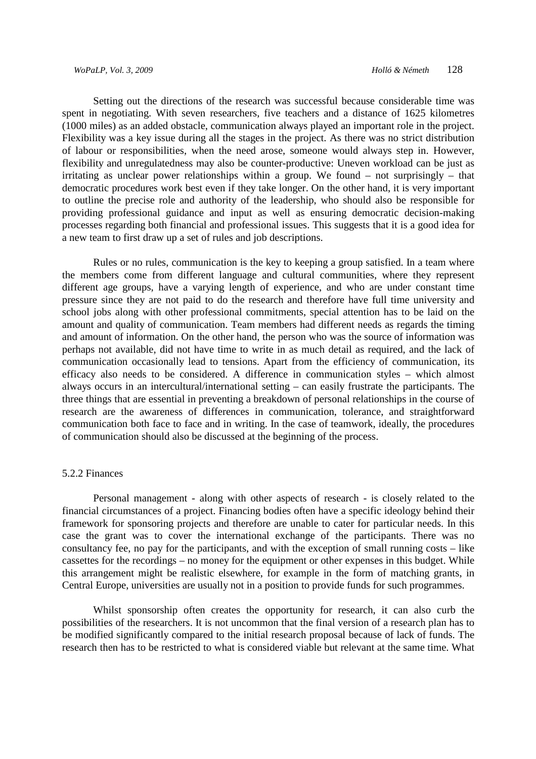Setting out the directions of the research was successful because considerable time was spent in negotiating. With seven researchers, five teachers and a distance of 1625 kilometres (1000 miles) as an added obstacle, communication always played an important role in the project. Flexibility was a key issue during all the stages in the project. As there was no strict distribution of labour or responsibilities, when the need arose, someone would always step in. However, flexibility and unregulatedness may also be counter-productive: Uneven workload can be just as irritating as unclear power relationships within a group. We found – not surprisingly – that democratic procedures work best even if they take longer. On the other hand, it is very important to outline the precise role and authority of the leadership, who should also be responsible for providing professional guidance and input as well as ensuring democratic decision-making processes regarding both financial and professional issues. This suggests that it is a good idea for a new team to first draw up a set of rules and job descriptions.

Rules or no rules, communication is the key to keeping a group satisfied. In a team where the members come from different language and cultural communities, where they represent different age groups, have a varying length of experience, and who are under constant time pressure since they are not paid to do the research and therefore have full time university and school jobs along with other professional commitments, special attention has to be laid on the amount and quality of communication. Team members had different needs as regards the timing and amount of information. On the other hand, the person who was the source of information was perhaps not available, did not have time to write in as much detail as required, and the lack of communication occasionally lead to tensions. Apart from the efficiency of communication, its efficacy also needs to be considered. A difference in communication styles – which almost always occurs in an intercultural/international setting – can easily frustrate the participants. The three things that are essential in preventing a breakdown of personal relationships in the course of research are the awareness of differences in communication, tolerance, and straightforward communication both face to face and in writing. In the case of teamwork, ideally, the procedures of communication should also be discussed at the beginning of the process.

#### 5.2.2 Finances

Personal management - along with other aspects of research - is closely related to the financial circumstances of a project. Financing bodies often have a specific ideology behind their framework for sponsoring projects and therefore are unable to cater for particular needs. In this case the grant was to cover the international exchange of the participants. There was no consultancy fee, no pay for the participants, and with the exception of small running costs – like cassettes for the recordings – no money for the equipment or other expenses in this budget. While this arrangement might be realistic elsewhere, for example in the form of matching grants, in Central Europe, universities are usually not in a position to provide funds for such programmes.

Whilst sponsorship often creates the opportunity for research, it can also curb the possibilities of the researchers. It is not uncommon that the final version of a research plan has to be modified significantly compared to the initial research proposal because of lack of funds. The research then has to be restricted to what is considered viable but relevant at the same time. What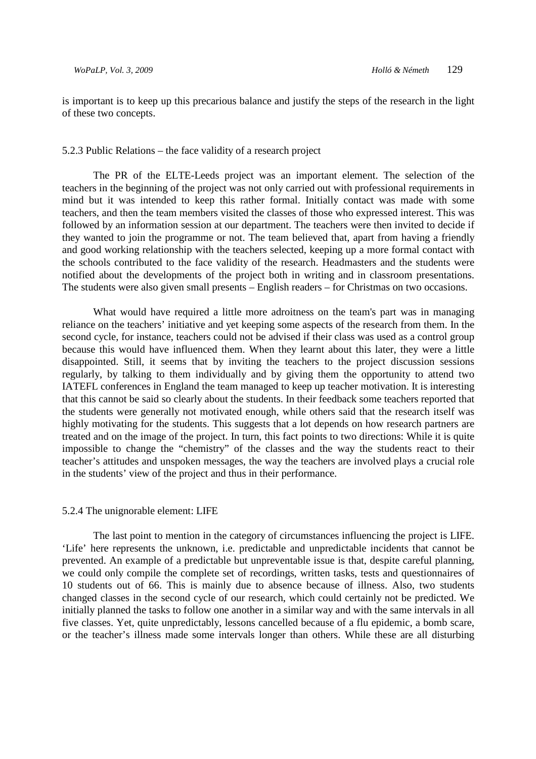is important is to keep up this precarious balance and justify the steps of the research in the light of these two concepts.

#### 5.2.3 Public Relations – the face validity of a research project

The PR of the ELTE-Leeds project was an important element. The selection of the teachers in the beginning of the project was not only carried out with professional requirements in mind but it was intended to keep this rather formal. Initially contact was made with some teachers, and then the team members visited the classes of those who expressed interest. This was followed by an information session at our department. The teachers were then invited to decide if they wanted to join the programme or not. The team believed that, apart from having a friendly and good working relationship with the teachers selected, keeping up a more formal contact with the schools contributed to the face validity of the research. Headmasters and the students were notified about the developments of the project both in writing and in classroom presentations. The students were also given small presents – English readers – for Christmas on two occasions.

What would have required a little more adroitness on the team's part was in managing reliance on the teachers' initiative and yet keeping some aspects of the research from them. In the second cycle, for instance, teachers could not be advised if their class was used as a control group because this would have influenced them. When they learnt about this later, they were a little disappointed. Still, it seems that by inviting the teachers to the project discussion sessions regularly, by talking to them individually and by giving them the opportunity to attend two IATEFL conferences in England the team managed to keep up teacher motivation. It is interesting that this cannot be said so clearly about the students. In their feedback some teachers reported that the students were generally not motivated enough, while others said that the research itself was highly motivating for the students. This suggests that a lot depends on how research partners are treated and on the image of the project. In turn, this fact points to two directions: While it is quite impossible to change the "chemistry" of the classes and the way the students react to their teacher's attitudes and unspoken messages, the way the teachers are involved plays a crucial role in the students' view of the project and thus in their performance.

#### 5.2.4 The unignorable element: LIFE

The last point to mention in the category of circumstances influencing the project is LIFE. 'Life' here represents the unknown, i.e. predictable and unpredictable incidents that cannot be prevented. An example of a predictable but unpreventable issue is that, despite careful planning, we could only compile the complete set of recordings, written tasks, tests and questionnaires of 10 students out of 66. This is mainly due to absence because of illness. Also, two students changed classes in the second cycle of our research, which could certainly not be predicted. We initially planned the tasks to follow one another in a similar way and with the same intervals in all five classes. Yet, quite unpredictably, lessons cancelled because of a flu epidemic, a bomb scare, or the teacher's illness made some intervals longer than others. While these are all disturbing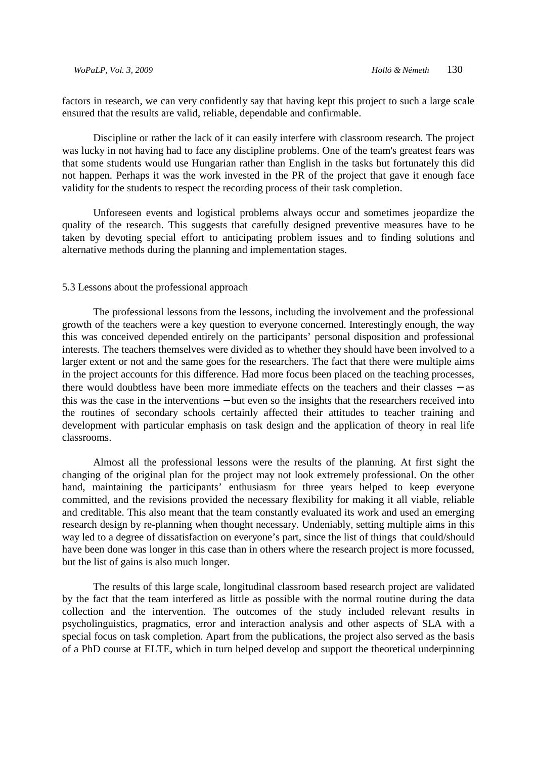factors in research, we can very confidently say that having kept this project to such a large scale ensured that the results are valid, reliable, dependable and confirmable.

Discipline or rather the lack of it can easily interfere with classroom research. The project was lucky in not having had to face any discipline problems. One of the team's greatest fears was that some students would use Hungarian rather than English in the tasks but fortunately this did not happen. Perhaps it was the work invested in the PR of the project that gave it enough face validity for the students to respect the recording process of their task completion.

Unforeseen events and logistical problems always occur and sometimes jeopardize the quality of the research. This suggests that carefully designed preventive measures have to be taken by devoting special effort to anticipating problem issues and to finding solutions and alternative methods during the planning and implementation stages.

#### 5.3 Lessons about the professional approach

The professional lessons from the lessons, including the involvement and the professional growth of the teachers were a key question to everyone concerned. Interestingly enough, the way this was conceived depended entirely on the participants' personal disposition and professional interests. The teachers themselves were divided as to whether they should have been involved to a larger extent or not and the same goes for the researchers. The fact that there were multiple aims in the project accounts for this difference. Had more focus been placed on the teaching processes, there would doubtless have been more immediate effects on the teachers and their classes − as this was the case in the interventions − but even so the insights that the researchers received into the routines of secondary schools certainly affected their attitudes to teacher training and development with particular emphasis on task design and the application of theory in real life classrooms.

Almost all the professional lessons were the results of the planning. At first sight the changing of the original plan for the project may not look extremely professional. On the other hand, maintaining the participants' enthusiasm for three years helped to keep everyone committed, and the revisions provided the necessary flexibility for making it all viable, reliable and creditable. This also meant that the team constantly evaluated its work and used an emerging research design by re-planning when thought necessary. Undeniably, setting multiple aims in this way led to a degree of dissatisfaction on everyone's part, since the list of things that could/should have been done was longer in this case than in others where the research project is more focussed, but the list of gains is also much longer.

The results of this large scale, longitudinal classroom based research project are validated by the fact that the team interfered as little as possible with the normal routine during the data collection and the intervention. The outcomes of the study included relevant results in psycholinguistics, pragmatics, error and interaction analysis and other aspects of SLA with a special focus on task completion. Apart from the publications, the project also served as the basis of a PhD course at ELTE, which in turn helped develop and support the theoretical underpinning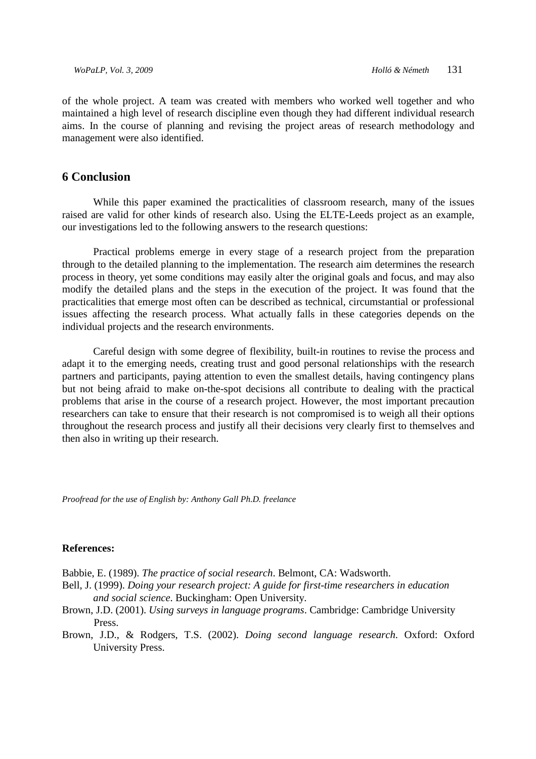of the whole project. A team was created with members who worked well together and who maintained a high level of research discipline even though they had different individual research aims. In the course of planning and revising the project areas of research methodology and management were also identified.

# **6 Conclusion**

While this paper examined the practicalities of classroom research, many of the issues raised are valid for other kinds of research also. Using the ELTE-Leeds project as an example, our investigations led to the following answers to the research questions:

Practical problems emerge in every stage of a research project from the preparation through to the detailed planning to the implementation. The research aim determines the research process in theory, yet some conditions may easily alter the original goals and focus, and may also modify the detailed plans and the steps in the execution of the project. It was found that the practicalities that emerge most often can be described as technical, circumstantial or professional issues affecting the research process. What actually falls in these categories depends on the individual projects and the research environments.

Careful design with some degree of flexibility, built-in routines to revise the process and adapt it to the emerging needs, creating trust and good personal relationships with the research partners and participants, paying attention to even the smallest details, having contingency plans but not being afraid to make on-the-spot decisions all contribute to dealing with the practical problems that arise in the course of a research project. However, the most important precaution researchers can take to ensure that their research is not compromised is to weigh all their options throughout the research process and justify all their decisions very clearly first to themselves and then also in writing up their research.

*Proofread for the use of English by: Anthony Gall Ph.D. freelance* 

#### **References:**

Babbie, E. (1989). *The practice of social research*. Belmont, CA: Wadsworth.

- Bell, J. (1999). *Doing your research project: A guide for first-time researchers in education and social science*. Buckingham: Open University.
- Brown, J.D. (2001). *Using surveys in language programs*. Cambridge: Cambridge University Press.
- Brown, J.D., & Rodgers, T.S. (2002). *Doing second language research*. Oxford: Oxford University Press.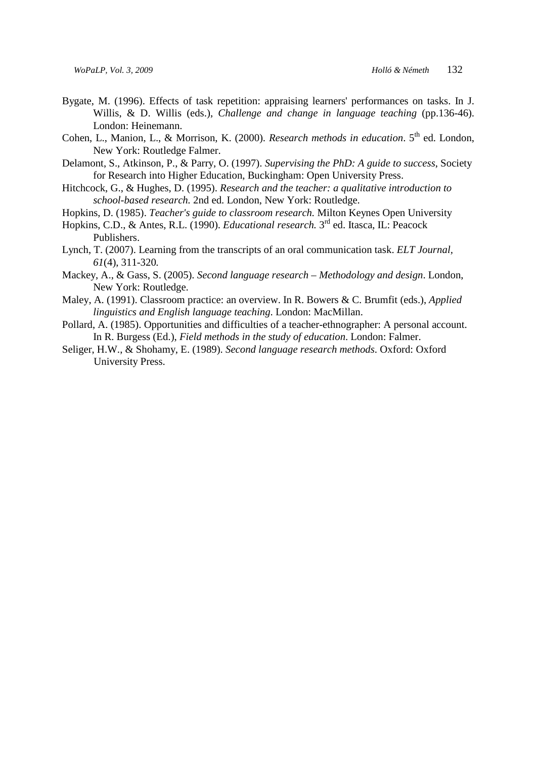- Bygate, M. (1996). Effects of task repetition: appraising learners' performances on tasks. In J. Willis, & D. Willis (eds.), *Challenge and change in language teaching* (pp.136-46). London: Heinemann.
- Cohen, L., Manion, L., & Morrison, K. (2000). *Research methods in education*. 5<sup>th</sup> ed. London, New York: Routledge Falmer.
- Delamont, S., Atkinson, P., & Parry, O. (1997). *Supervising the PhD: A guide to success*, Society for Research into Higher Education, Buckingham: Open University Press.
- Hitchcock, G., & Hughes, D. (1995). *Research and the teacher: a qualitative introduction to school-based research.* 2nd ed. London, New York: Routledge.
- Hopkins, D. (1985). *Teacher's guide to classroom research.* Milton Keynes Open University
- Hopkins, C.D., & Antes, R.L. (1990). *Educational research.* 3rd ed. Itasca, IL: Peacock Publishers.
- Lynch, T. (2007). Learning from the transcripts of an oral communication task. *ELT Journal, 61*(4), 311-320*.*
- Mackey, A., & Gass, S. (2005). *Second language research Methodology and design*. London, New York: Routledge.
- Maley, A. (1991). Classroom practice: an overview. In R. Bowers & C. Brumfit (eds.), *Applied linguistics and English language teaching*. London: MacMillan.
- Pollard, A. (1985). Opportunities and difficulties of a teacher-ethnographer: A personal account. In R. Burgess (Ed.), *Field methods in the study of education*. London: Falmer.
- Seliger, H.W., & Shohamy, E. (1989). *Second language research methods*. Oxford: Oxford University Press.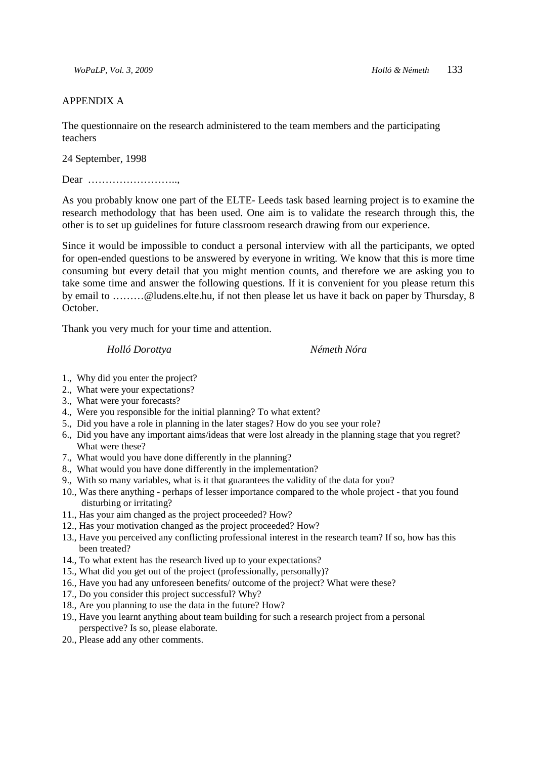#### APPENDIX A

The questionnaire on the research administered to the team members and the participating teachers

24 September, 1998

Dear ……………………..,

As you probably know one part of the ELTE- Leeds task based learning project is to examine the research methodology that has been used. One aim is to validate the research through this, the other is to set up guidelines for future classroom research drawing from our experience.

Since it would be impossible to conduct a personal interview with all the participants, we opted for open-ended questions to be answered by everyone in writing. We know that this is more time consuming but every detail that you might mention counts, and therefore we are asking you to take some time and answer the following questions. If it is convenient for you please return this by email to ………@ludens.elte.hu, if not then please let us have it back on paper by Thursday, 8 October.

Thank you very much for your time and attention.

#### *Holló Dorottya Németh Nóra*

- 1., Why did you enter the project?
- 2., What were your expectations?
- 3., What were your forecasts?
- 4., Were you responsible for the initial planning? To what extent?
- 5., Did you have a role in planning in the later stages? How do you see your role?
- 6., Did you have any important aims/ideas that were lost already in the planning stage that you regret? What were these?
- 7., What would you have done differently in the planning?
- 8., What would you have done differently in the implementation?
- 9., With so many variables, what is it that guarantees the validity of the data for you?
- 10., Was there anything perhaps of lesser importance compared to the whole project that you found disturbing or irritating?
- 11., Has your aim changed as the project proceeded? How?
- 12., Has your motivation changed as the project proceeded? How?
- 13., Have you perceived any conflicting professional interest in the research team? If so, how has this been treated?
- 14., To what extent has the research lived up to your expectations?
- 15., What did you get out of the project (professionally, personally)?
- 16., Have you had any unforeseen benefits/ outcome of the project? What were these?
- 17., Do you consider this project successful? Why?
- 18., Are you planning to use the data in the future? How?
- 19., Have you learnt anything about team building for such a research project from a personal perspective? Is so, please elaborate.
- 20., Please add any other comments.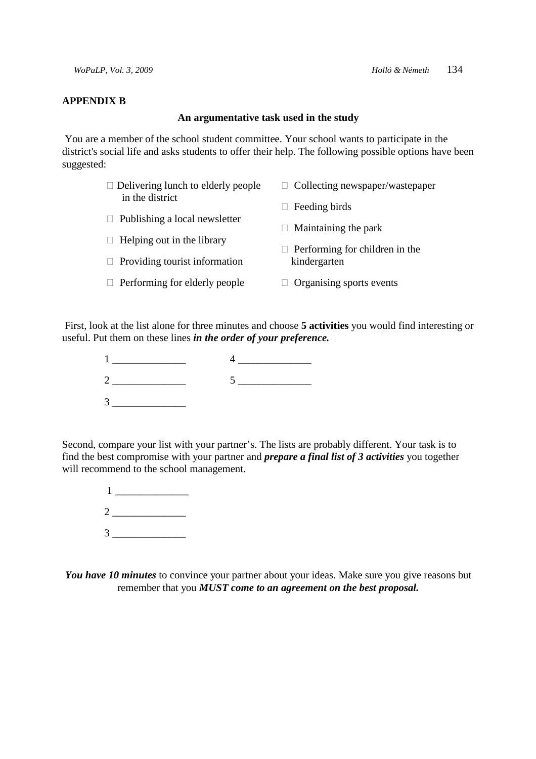#### **APPENDIX B**

#### **An argumentative task used in the study**

You are a member of the school student committee. Your school wants to participate in the district's social life and asks students to offer their help. The following possible options have been suggested:

| $\Box$ Delivering lunch to elderly people | $\Box$ Collecting newspaper/wastepaper   |
|-------------------------------------------|------------------------------------------|
| in the district                           | Feeding birds                            |
| $\Box$ Publishing a local newsletter      | Maintaining the park<br>$\mathbf{L}$     |
| $\Box$ Helping out in the library         | Performing for children in the<br>$\Box$ |
| $\Box$ Providing tourist information      | kindergarten                             |
| $\Box$ Performing for elderly people      | Organising sports events                 |

 First, look at the list alone for three minutes and choose **5 activities** you would find interesting or useful. Put them on these lines *in the order of your preference.* 



Second, compare your list with your partner's. The lists are probably different. Your task is to find the best compromise with your partner and *prepare a final list of 3 activities* you together will recommend to the school management.

> $1$  $2 \overline{a}$  $3 \overline{3}$

*You have 10 minutes* to convince your partner about your ideas. Make sure you give reasons but remember that you *MUST come to an agreement on the best proposal.*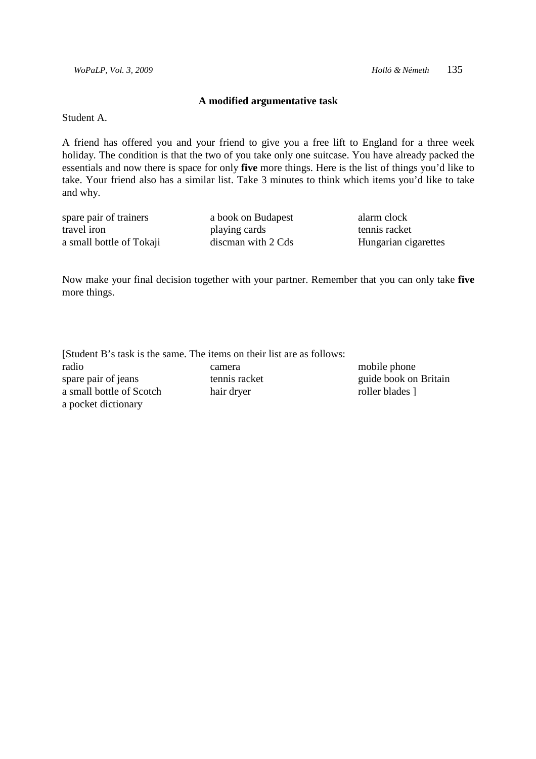**Britain** 

#### **A modified argumentative task**

Student A.

A friend has offered you and your friend to give you a free lift to England for a three week holiday. The condition is that the two of you take only one suitcase. You have already packed the essentials and now there is space for only **five** more things. Here is the list of things you'd like to take. Your friend also has a similar list. Take 3 minutes to think which items you'd like to take and why.

| spare pair of trainers   | a book on Budapest | alarm clock          |
|--------------------------|--------------------|----------------------|
| travel iron              | playing cards      | tennis racket        |
| a small bottle of Tokaji | discman with 2 Cds | Hungarian cigarettes |

Now make your final decision together with your partner. Remember that you can only take **five** more things.

|                          | [Student B's task is the same. The items on their list are as follows: |                 |
|--------------------------|------------------------------------------------------------------------|-----------------|
| radio                    | camera                                                                 | mobile phone    |
| spare pair of jeans      | tennis racket                                                          | guide book on   |
| a small bottle of Scotch | hair dryer                                                             | roller blades 1 |
| a pocket dictionary      |                                                                        |                 |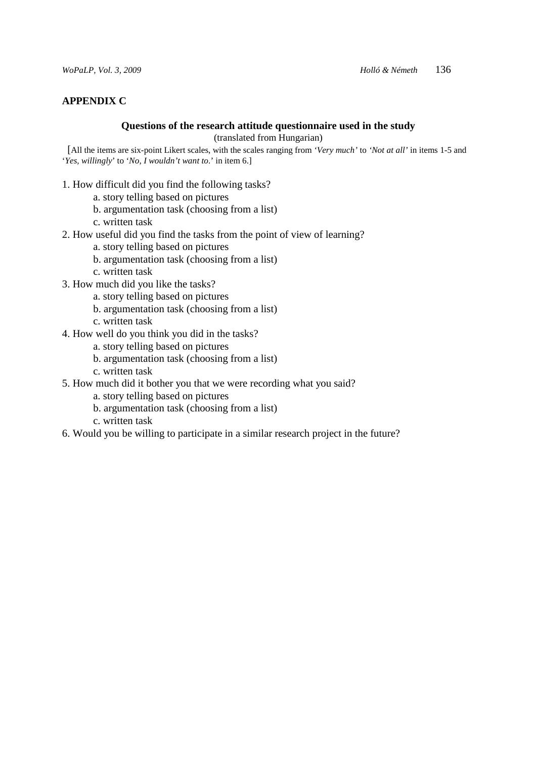### **APPENDIX C**

# **Questions of the research attitude questionnaire used in the study**

(translated from Hungarian)

 [All the items are six-point Likert scales, with the scales ranging from *'Very much'* to *'Not at all'* in items 1-5 and '*Yes, willingly*' to '*No, I wouldn't want to*.' in item 6.]

- 1. How difficult did you find the following tasks?
	- a. story telling based on pictures
	- b. argumentation task (choosing from a list)
	- c. written task
- 2. How useful did you find the tasks from the point of view of learning?
	- a. story telling based on pictures
	- b. argumentation task (choosing from a list)
	- c. written task
- 3. How much did you like the tasks?
	- a. story telling based on pictures
	- b. argumentation task (choosing from a list)
	- c. written task
- 4. How well do you think you did in the tasks?
	- a. story telling based on pictures
	- b. argumentation task (choosing from a list)
	- c. written task
- 5. How much did it bother you that we were recording what you said?
	- a. story telling based on pictures
	- b. argumentation task (choosing from a list)
	- c. written task
- 6. Would you be willing to participate in a similar research project in the future?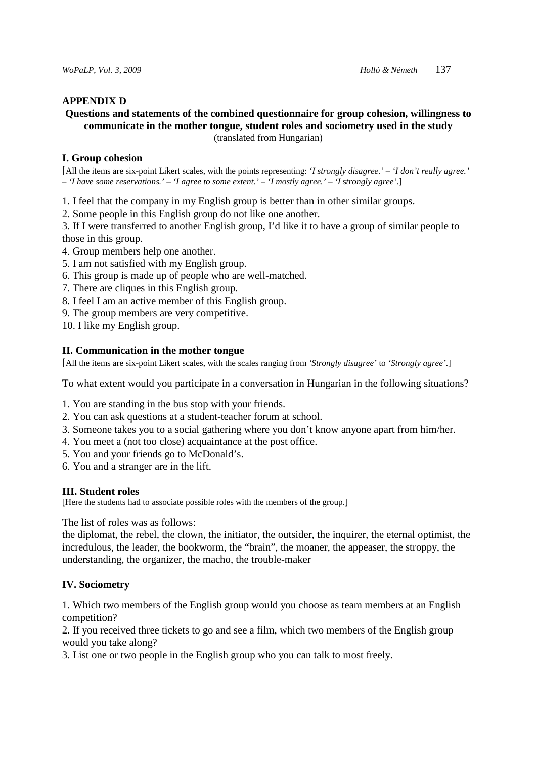#### **APPENDIX D**

#### **Questions and statements of the combined questionnaire for group cohesion, willingness to communicate in the mother tongue, student roles and sociometry used in the study**  (translated from Hungarian)

#### **I. Group cohesion**

[All the items are six-point Likert scales, with the points representing: *'I strongly disagree.' – 'I don't really agree.' – 'I have some reservations.' – 'I agree to some extent.' – 'I mostly agree.' – 'I* s*trongly agree'*.]

1. I feel that the company in my English group is better than in other similar groups.

2. Some people in this English group do not like one another.

3. If I were transferred to another English group, I'd like it to have a group of similar people to those in this group.

- 4. Group members help one another.
- 5. I am not satisfied with my English group.
- 6. This group is made up of people who are well-matched.
- 7. There are cliques in this English group.
- 8. I feel I am an active member of this English group.
- 9. The group members are very competitive.
- 10. I like my English group.

#### **II. Communication in the mother tongue**

[All the items are six-point Likert scales, with the scales ranging from *'Strongly disagree'* to *'Strongly agree'*.]

To what extent would you participate in a conversation in Hungarian in the following situations?

- 1. You are standing in the bus stop with your friends.
- 2. You can ask questions at a student-teacher forum at school.
- 3. Someone takes you to a social gathering where you don't know anyone apart from him/her.
- 4. You meet a (not too close) acquaintance at the post office.
- 5. You and your friends go to McDonald's.
- 6. You and a stranger are in the lift.

#### **III. Student roles**

[Here the students had to associate possible roles with the members of the group.]

The list of roles was as follows:

the diplomat, the rebel, the clown, the initiator, the outsider, the inquirer, the eternal optimist, the incredulous, the leader, the bookworm, the "brain", the moaner, the appeaser, the stroppy, the understanding, the organizer, the macho, the trouble-maker

#### **IV. Sociometry**

1. Which two members of the English group would you choose as team members at an English competition?

2. If you received three tickets to go and see a film, which two members of the English group would you take along?

3. List one or two people in the English group who you can talk to most freely.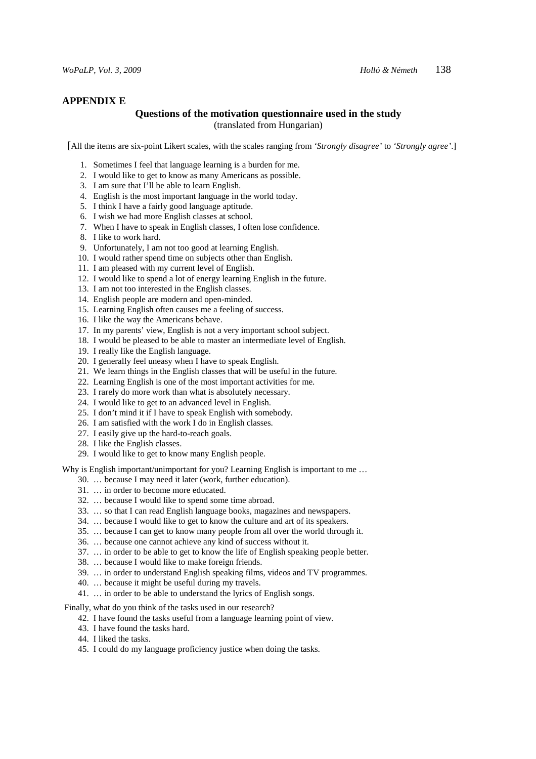# **APPENDIX E**

#### **Questions of the motivation questionnaire used in the study**  (translated from Hungarian)

[All the items are six-point Likert scales, with the scales ranging from *'Strongly disagree'* to *'Strongly agree'*.]

- 1. Sometimes I feel that language learning is a burden for me.
- 2. I would like to get to know as many Americans as possible.
- 3. I am sure that I'll be able to learn English.
- 4. English is the most important language in the world today.
- 5. I think I have a fairly good language aptitude.
- 6. I wish we had more English classes at school.
- 7. When I have to speak in English classes, I often lose confidence.
- 8. I like to work hard.
- 9. Unfortunately, I am not too good at learning English.
- 10. I would rather spend time on subjects other than English.
- 11. I am pleased with my current level of English.
- 12. I would like to spend a lot of energy learning English in the future.
- 13. I am not too interested in the English classes.
- 14. English people are modern and open-minded.
- 15. Learning English often causes me a feeling of success.
- 16. I like the way the Americans behave.
- 17. In my parents' view, English is not a very important school subject.
- 18. I would be pleased to be able to master an intermediate level of English.
- 19. I really like the English language.
- 20. I generally feel uneasy when I have to speak English.
- 21. We learn things in the English classes that will be useful in the future.
- 22. Learning English is one of the most important activities for me.
- 23. I rarely do more work than what is absolutely necessary.
- 24. I would like to get to an advanced level in English.
- 25. I don't mind it if I have to speak English with somebody.
- 26. I am satisfied with the work I do in English classes.
- 27. I easily give up the hard-to-reach goals.
- 28. I like the English classes.
- 29. I would like to get to know many English people.

Why is English important/unimportant for you? Learning English is important to me...

- 30. … because I may need it later (work, further education).
- 31. … in order to become more educated.
- 32. … because I would like to spend some time abroad.
- 33. … so that I can read English language books, magazines and newspapers.
- 34. … because I would like to get to know the culture and art of its speakers.
- 35. … because I can get to know many people from all over the world through it.
- 36. … because one cannot achieve any kind of success without it.
- 37. … in order to be able to get to know the life of English speaking people better.
- 38. … because I would like to make foreign friends.
- 39. … in order to understand English speaking films, videos and TV programmes.
- 40. … because it might be useful during my travels.
- 41. … in order to be able to understand the lyrics of English songs.

Finally, what do you think of the tasks used in our research?

- 42. I have found the tasks useful from a language learning point of view.
- 43. I have found the tasks hard.
- 44. I liked the tasks.
- 45. I could do my language proficiency justice when doing the tasks.